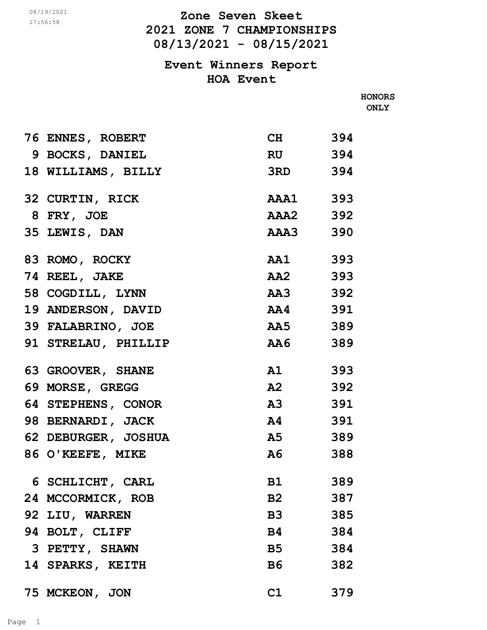17:56:58

**2021 ZONE 7 CHAMPIONSHIPS 08/13/2021 - 08/15/2021** *D8/19/2021* **<b>Zone Seven Skeet** 

> **Event Winners Report HOA Event**

> > **HONORS ONLY**

| 76 ENNES, ROBERT    | CH 394     |     |
|---------------------|------------|-----|
| 9 BOCKS, DANIEL     | RU 394     |     |
| 18 WILLIAMS, BILLY  | 3RD 394    |     |
| 32 CURTIN, RICK     | AAA1 393   |     |
| 8 FRY, JOE          | AAA2 392   |     |
| 35 LEWIS, DAN       | AAA3 390   |     |
| 83 ROMO, ROCKY      | AA1 393    |     |
| 74 REEL, JAKE       | AA2 393    |     |
| 58 COGDILL, LYNN    | AA3 392    |     |
| 19 ANDERSON, DAVID  | AA4 391    |     |
| 39 FALABRINO, JOE   | AA5 389    |     |
| 91 STRELAU, PHILLIP | AA6 389    |     |
| 63 GROOVER, SHANE   | A1 393     |     |
| 69 MORSE, GREGG     | A2<br>392  |     |
| 64 STEPHENS, CONOR  | A3 391     |     |
| 98 BERNARDI, JACK   | A4 391     |     |
| 62 DEBURGER, JOSHUA | A5 389     |     |
| 86 O'KEEFE, MIKE    | ${\bf A6}$ | 388 |
| 6 SCHLICHT, CARL    | B1 389     |     |
| 24 MCCORMICK, ROB   | B2         | 387 |
| 92 LIU, WARREN      | <b>B3</b>  | 385 |
| 94 BOLT, CLIFF      | <b>B4</b>  | 384 |
| 3 PETTY, SHAWN      | <b>B5</b>  | 384 |
| 14 SPARKS, KEITH    | <b>B6</b>  | 382 |
| 75 MCKEON, JON      | C1         | 379 |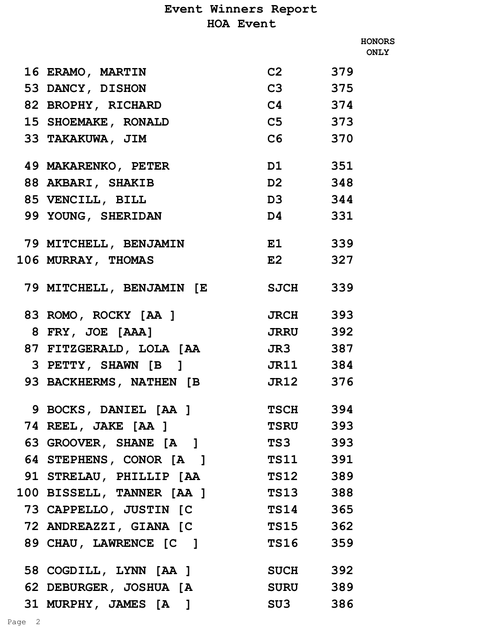|                           |                    |     | <b>HONORS</b><br><b>ONLY</b> |
|---------------------------|--------------------|-----|------------------------------|
| 16 ERAMO, MARTIN          | C <sub>2</sub> 379 |     |                              |
| 53 DANCY, DISHON          | C3 375             |     |                              |
| 82 BROPHY, RICHARD        | $C4$ 374           |     |                              |
| 15 SHOEMAKE, RONALD       | C5 373             |     |                              |
| 33 TAKAKUWA, JIM          | C6 370             |     |                              |
| 49 MAKARENKO, PETER       | D1 351             |     |                              |
| 88 AKBARI, SHAKIB         | D2 348             |     |                              |
| 85 VENCILL, BILL          | D3 344             |     |                              |
| 99 YOUNG, SHERIDAN        | D4 331             |     |                              |
| 79 MITCHELL, BENJAMIN     | E1 339             |     |                              |
| 106 MURRAY, THOMAS        | E2 327             |     |                              |
| 79 MITCHELL, BENJAMIN [E  | <b>SJCH</b> 339    |     |                              |
| 83 ROMO, ROCKY [AA ]      | <b>JRCH</b> 393    |     |                              |
| 8 FRY, JOE [AAA]          | <b>JRRU</b> 392    |     |                              |
| 87 FITZGERALD, LOLA [AA   | <b>JR3</b> 387     |     |                              |
| 3 PETTY, SHAWN [B]        | JR11 384           |     |                              |
| 93 BACKHERMS, NATHEN [B   | JR12 376           |     |                              |
| 9 BOCKS, DANIEL [AA ]     | <b>TSCH</b> 394    |     |                              |
| 74 REEL, JAKE [AA ]       | <b>TSRU</b> 393    |     |                              |
| 63 GROOVER, SHANE [A]     | TS3 393            |     |                              |
| 64 STEPHENS, CONOR [A]    | TS11 391           |     |                              |
| 91 STRELAU, PHILLIP [AA   | TS12 389           |     |                              |
| 100 BISSELL, TANNER [AA ] | <b>TS13</b> 388    |     |                              |
| 73 CAPPELLO, JUSTIN [C    | <b>TS14</b> 365    |     |                              |
| 72 ANDREAZZI, GIANA [C    | <b>TS15</b>        | 362 |                              |
| 89 CHAU, LAWRENCE [C ]    | TS16               | 359 |                              |
| 58 COGDILL, LYNN [AA ]    | <b>SUCH</b> 392    |     |                              |
| 62 DEBURGER, JOSHUA [A    | SURU 389           |     |                              |
| 31 MURPHY, JAMES [A]      | SU3 386            |     |                              |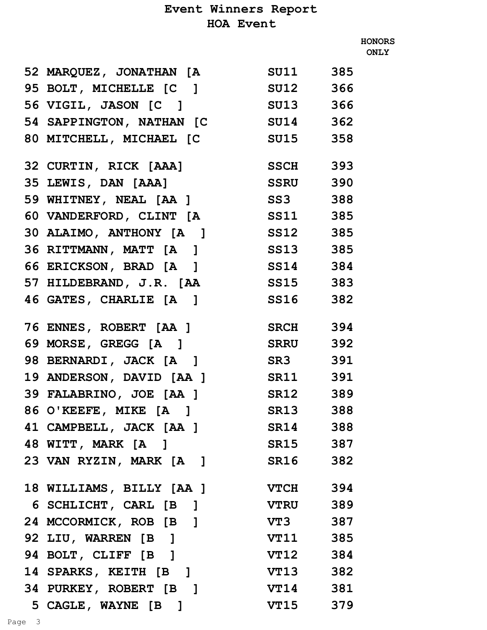|                                   |                 |     | <b>HONORS</b><br><b>ONLY</b> |
|-----------------------------------|-----------------|-----|------------------------------|
| 52 MARQUEZ, JONATHAN [A SU11 385  |                 |     |                              |
| 95 BOLT, MICHELLE [C ] SU12 366   |                 |     |                              |
| 56 VIGIL, JASON [C ] SU13 366     |                 |     |                              |
| 54 SAPPINGTON, NATHAN [C SU14 362 |                 |     |                              |
| 80 MITCHELL, MICHAEL [C           | SU15 358        |     |                              |
| 32 CURTIN, RICK [AAA] SSCH 393    |                 |     |                              |
| 35 LEWIS, DAN [AAA] SSRU 390      |                 |     |                              |
| 59 WHITNEY, NEAL [AA ] SS3 388    |                 |     |                              |
| 60 VANDERFORD, CLINT [A SS11 385  |                 |     |                              |
| 30 ALAIMO, ANTHONY [A ] SS12 385  |                 |     |                              |
| 36 RITTMANN, MATT [A ] SS13 385   |                 |     |                              |
| 66 ERICKSON, BRAD [A]             | SS14 384        |     |                              |
| 57 HILDEBRAND, J.R. [AA SS15 383  |                 |     |                              |
| 46 GATES, CHARLIE [A ] SS16 382   |                 |     |                              |
|                                   |                 |     |                              |
| 76 ENNES, ROBERT [AA ] SRCH 394   |                 |     |                              |
| 69 MORSE, GREGG [A] SRRU 392      |                 |     |                              |
| 98 BERNARDI, JACK [A]             | <b>SR3</b> 391  |     |                              |
| 19 ANDERSON, DAVID [AA ]          | SR11 391        |     |                              |
| 39 FALABRINO, JOE [AA ] SR12      |                 | 389 |                              |
| 86 O'KEEFE, MIKE [A]              | SR13 388        |     |                              |
| 41 CAMPBELL, JACK [AA ] SR14 388  |                 |     |                              |
| 48 WITT, MARK [A]                 | SR15 387        |     |                              |
| 23 VAN RYZIN, MARK [A]            | SR16            | 382 |                              |
| 18 WILLIAMS, BILLY [AA ]          | <b>VTCH</b> 394 |     |                              |
| 6 SCHLICHT, CARL [B ]             | VTRU 389        |     |                              |
| 24 MCCORMICK, ROB [B ]            | VT3 387         |     |                              |
| 92 LIU, WARREN [B]                | VT11 385        |     |                              |
| 94 BOLT, CLIFF [B]                | VT12 384        |     |                              |
| 14 SPARKS, KEITH [B]              | VT13 382        |     |                              |
| 34 PURKEY, ROBERT [B]             | <b>VT14</b> 381 |     |                              |

 **5 CAGLE, WAYNE [B ] VT15 379**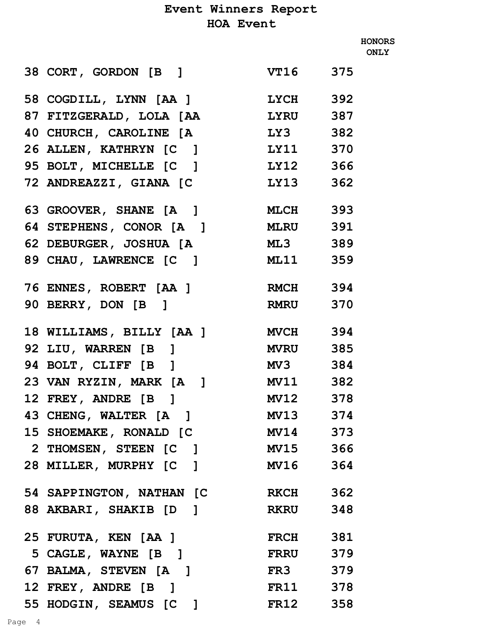**HONORS ONLY**

| 38 CORT, GORDON [B]             | VT16 375        |     |
|---------------------------------|-----------------|-----|
| 58 COGDILL, LYNN [AA ]          | $LYCH$ 392      |     |
| 87 FITZGERALD, LOLA [AA         | <b>LYRU</b>     | 387 |
| 40 CHURCH, CAROLINE [A          | LY3 382         |     |
| 26 ALLEN, KATHRYN [C ] LY11 370 |                 |     |
| 95 BOLT, MICHELLE [C ]          | LY12 366        |     |
| 72 ANDREAZZI, GIANA [C          | LY13            | 362 |
| 63 GROOVER, SHANE [A]           | <b>MLCH</b> 393 |     |
| 64 STEPHENS, CONOR [A]          | <b>MLRU</b> 391 |     |
| 62 DEBURGER, JOSHUA [A          | ML3 389         |     |
| 89 CHAU, LAWRENCE [C ]          | <b>ML11</b> 359 |     |
| 76 ENNES, ROBERT [AA ]          | <b>RMCH</b> 394 |     |
| 90 BERRY, DON [B]               | <b>RMRU</b> 370 |     |
|                                 |                 |     |
| 18 WILLIAMS, BILLY [AA ]        | <b>MVCH</b> 394 |     |
| 92 LIU, WARREN [B]              | MVRU 385        |     |
| 94 BOLT, CLIFF [B]              | MV3 384         |     |
| 23 VAN RYZIN, MARK [A]          | MV11 382        |     |
| 12 FREY, ANDRE [B]              | MV12 378        |     |
| 43 CHENG, WALTER [A]            | <b>MV13</b>     | 374 |
| 15 SHOEMAKE, RONALD [C          | MV14 373        |     |
| 2 THOMSEN, STEEN [C]            | MV15 366        |     |
| 28 MILLER, MURPHY [C]           | MV16 364        |     |
| 54 SAPPINGTON, NATHAN [C        | <b>RKCH</b> 362 |     |
| 88 AKBARI, SHAKIB [D]           | RKRU 348        |     |
| 25 FURUTA, KEN [AA ]            | <b>FRCH</b> 381 |     |
| 5 CAGLE, WAYNE [B]              | <b>FRRU</b> 379 |     |
| 67 BALMA, STEVEN [A]            | FR3 379         |     |
| 12 FREY, ANDRE [B]              | FR11 378        |     |
| 55 HODGIN, SEAMUS [C]           | <b>FR12</b> 358 |     |